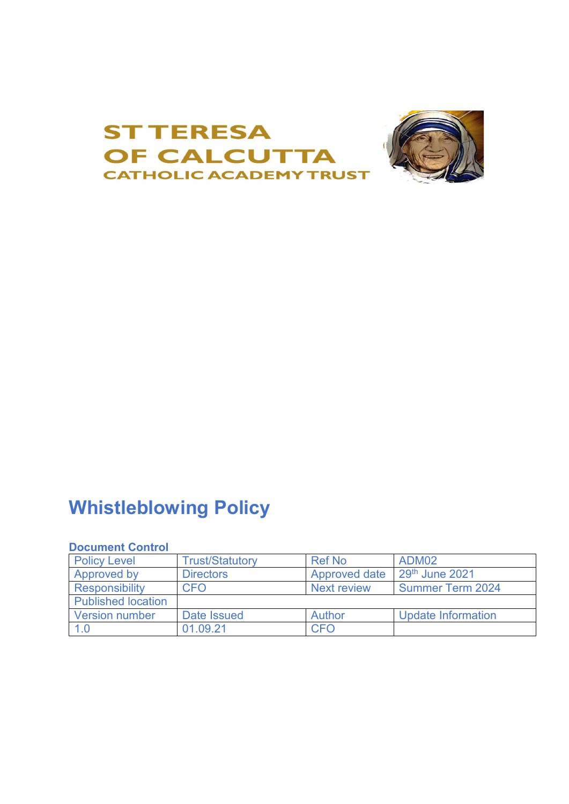

# **Whistleblowing Policy**

# **Document Control**

| <b>Policy Level</b>       | <b>Trust/Statutory</b> | <b>Ref No</b>        | ADM02                     |
|---------------------------|------------------------|----------------------|---------------------------|
| Approved by               | <b>Directors</b>       | <b>Approved date</b> | 29th June 2021            |
| <b>Responsibility</b>     | <b>CFO</b>             | <b>Next review</b>   | <b>Summer Term 2024</b>   |
| <b>Published location</b> |                        |                      |                           |
| <b>Version number</b>     | Date Issued            | Author               | <b>Update Information</b> |
| 1.0                       | 01.09.21               | <b>CFO</b>           |                           |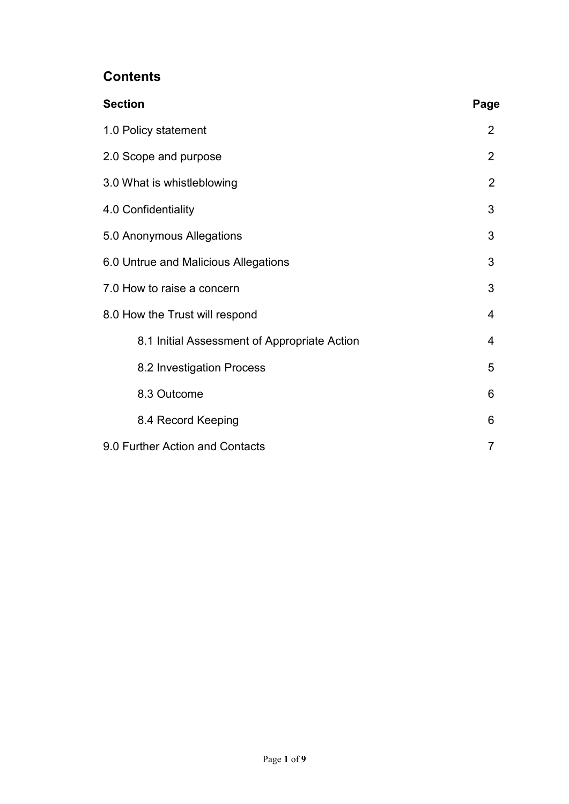# **Contents**

| <b>Section</b>                               | Page |  |
|----------------------------------------------|------|--|
| 1.0 Policy statement                         |      |  |
| 2.0 Scope and purpose                        |      |  |
| 3.0 What is whistleblowing                   |      |  |
| 4.0 Confidentiality                          |      |  |
| 5.0 Anonymous Allegations                    |      |  |
| 6.0 Untrue and Malicious Allegations         |      |  |
| 7.0 How to raise a concern                   |      |  |
| 8.0 How the Trust will respond               |      |  |
| 8.1 Initial Assessment of Appropriate Action | 4    |  |
| 8.2 Investigation Process                    | 5    |  |
| 8.3 Outcome                                  | 6    |  |
| 8.4 Record Keeping                           | 6    |  |
| 9.0 Further Action and Contacts              |      |  |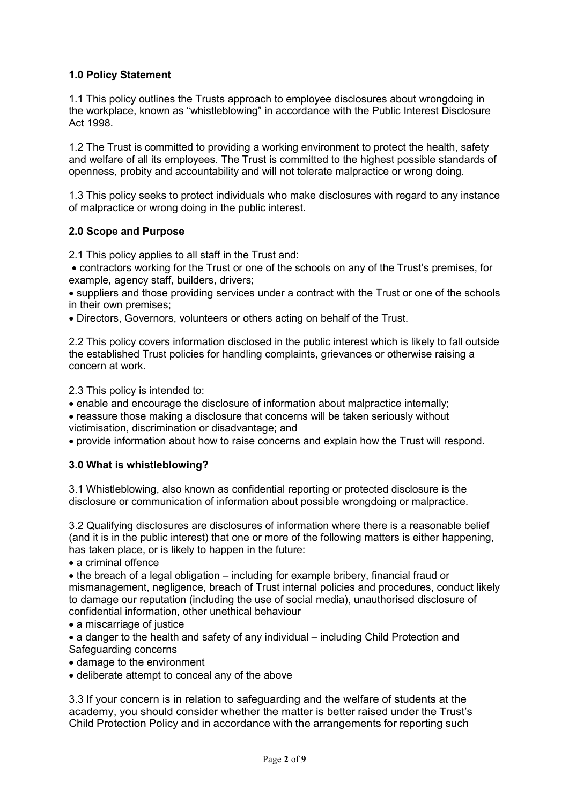# **1.0 Policy Statement**

1.1 This policy outlines the Trusts approach to employee disclosures about wrongdoing in the workplace, known as "whistleblowing" in accordance with the Public Interest Disclosure Act 1998.

1.2 The Trust is committed to providing a working environment to protect the health, safety and welfare of all its employees. The Trust is committed to the highest possible standards of openness, probity and accountability and will not tolerate malpractice or wrong doing.

1.3 This policy seeks to protect individuals who make disclosures with regard to any instance of malpractice or wrong doing in the public interest.

#### **2.0 Scope and Purpose**

2.1 This policy applies to all staff in the Trust and:

• contractors working for the Trust or one of the schools on any of the Trust's premises, for example, agency staff, builders, drivers;

• suppliers and those providing services under a contract with the Trust or one of the schools in their own premises;

• Directors, Governors, volunteers or others acting on behalf of the Trust.

2.2 This policy covers information disclosed in the public interest which is likely to fall outside the established Trust policies for handling complaints, grievances or otherwise raising a concern at work.

2.3 This policy is intended to:

• enable and encourage the disclosure of information about malpractice internally;

• reassure those making a disclosure that concerns will be taken seriously without victimisation, discrimination or disadvantage; and

• provide information about how to raise concerns and explain how the Trust will respond.

#### **3.0 What is whistleblowing?**

3.1 Whistleblowing, also known as confidential reporting or protected disclosure is the disclosure or communication of information about possible wrongdoing or malpractice.

3.2 Qualifying disclosures are disclosures of information where there is a reasonable belief (and it is in the public interest) that one or more of the following matters is either happening, has taken place, or is likely to happen in the future:

• a criminal offence

• the breach of a legal obligation – including for example bribery, financial fraud or mismanagement, negligence, breach of Trust internal policies and procedures, conduct likely to damage our reputation (including the use of social media), unauthorised disclosure of confidential information, other unethical behaviour

• a miscarriage of justice

• a danger to the health and safety of any individual – including Child Protection and Safeguarding concerns

- damage to the environment
- deliberate attempt to conceal any of the above

3.3 If your concern is in relation to safeguarding and the welfare of students at the academy, you should consider whether the matter is better raised under the Trust's Child Protection Policy and in accordance with the arrangements for reporting such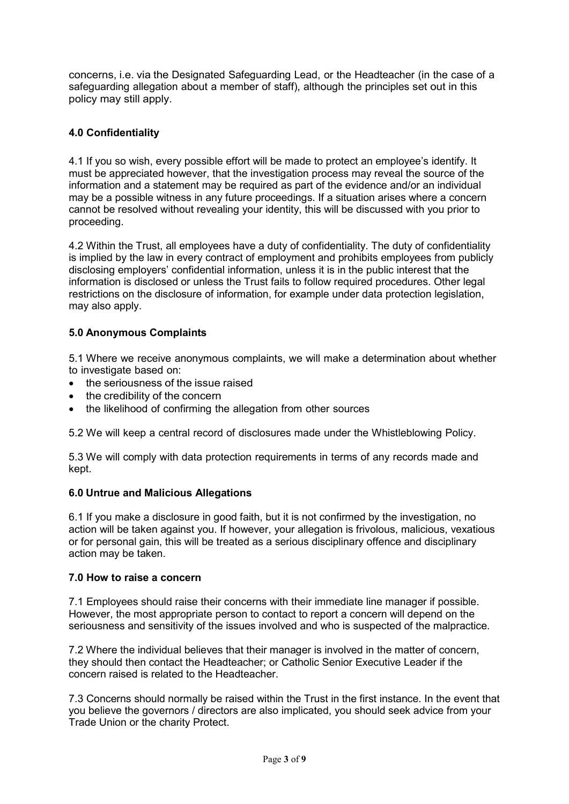concerns, i.e. via the Designated Safeguarding Lead, or the Headteacher (in the case of a safeguarding allegation about a member of staff), although the principles set out in this policy may still apply.

# **4.0 Confidentiality**

4.1 If you so wish, every possible effort will be made to protect an employee's identify. It must be appreciated however, that the investigation process may reveal the source of the information and a statement may be required as part of the evidence and/or an individual may be a possible witness in any future proceedings. If a situation arises where a concern cannot be resolved without revealing your identity, this will be discussed with you prior to proceeding.

4.2 Within the Trust, all employees have a duty of confidentiality. The duty of confidentiality is implied by the law in every contract of employment and prohibits employees from publicly disclosing employers' confidential information, unless it is in the public interest that the information is disclosed or unless the Trust fails to follow required procedures. Other legal restrictions on the disclosure of information, for example under data protection legislation, may also apply.

# **5.0 Anonymous Complaints**

5.1 Where we receive anonymous complaints, we will make a determination about whether to investigate based on:

- the seriousness of the issue raised
- the credibility of the concern
- the likelihood of confirming the allegation from other sources

5.2 We will keep a central record of disclosures made under the Whistleblowing Policy.

5.3 We will comply with data protection requirements in terms of any records made and kept.

# **6.0 Untrue and Malicious Allegations**

6.1 If you make a disclosure in good faith, but it is not confirmed by the investigation, no action will be taken against you. If however, your allegation is frivolous, malicious, vexatious or for personal gain, this will be treated as a serious disciplinary offence and disciplinary action may be taken.

#### **7.0 How to raise a concern**

7.1 Employees should raise their concerns with their immediate line manager if possible. However, the most appropriate person to contact to report a concern will depend on the seriousness and sensitivity of the issues involved and who is suspected of the malpractice.

7.2 Where the individual believes that their manager is involved in the matter of concern, they should then contact the Headteacher; or Catholic Senior Executive Leader if the concern raised is related to the Headteacher.

7.3 Concerns should normally be raised within the Trust in the first instance. In the event that you believe the governors / directors are also implicated, you should seek advice from your Trade Union or the charity Protect.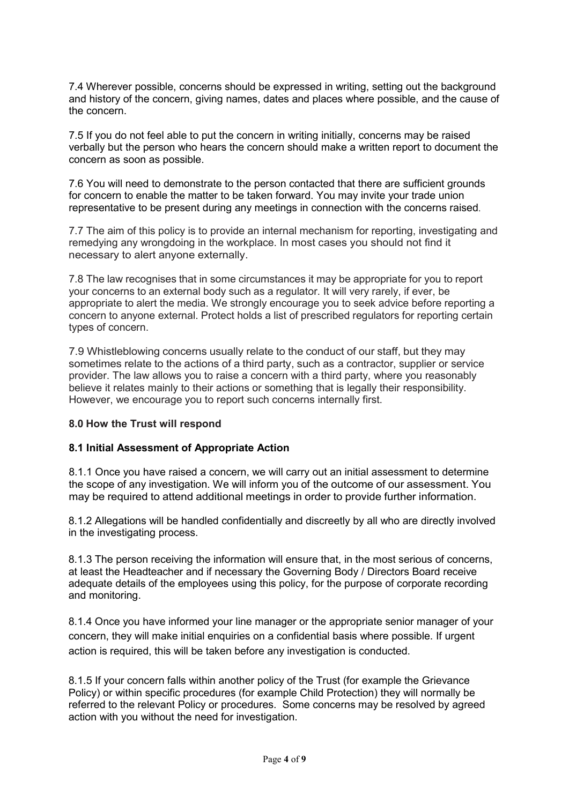7.4 Wherever possible, concerns should be expressed in writing, setting out the background and history of the concern, giving names, dates and places where possible, and the cause of the concern.

7.5 If you do not feel able to put the concern in writing initially, concerns may be raised verbally but the person who hears the concern should make a written report to document the concern as soon as possible.

7.6 You will need to demonstrate to the person contacted that there are sufficient grounds for concern to enable the matter to be taken forward. You may invite your trade union representative to be present during any meetings in connection with the concerns raised.

7.7 The aim of this policy is to provide an internal mechanism for reporting, investigating and remedying any wrongdoing in the workplace. In most cases you should not find it necessary to alert anyone externally.

7.8 The law recognises that in some circumstances it may be appropriate for you to report your concerns to an external body such as a regulator. It will very rarely, if ever, be appropriate to alert the media. We strongly encourage you to seek advice before reporting a concern to anyone external. Protect holds a list of prescribed regulators for reporting certain types of concern.

7.9 Whistleblowing concerns usually relate to the conduct of our staff, but they may sometimes relate to the actions of a third party, such as a contractor, supplier or service provider. The law allows you to raise a concern with a third party, where you reasonably believe it relates mainly to their actions or something that is legally their responsibility. However, we encourage you to report such concerns internally first.

#### **8.0 How the Trust will respond**

#### **8.1 Initial Assessment of Appropriate Action**

8.1.1 Once you have raised a concern, we will carry out an initial assessment to determine the scope of any investigation. We will inform you of the outcome of our assessment. You may be required to attend additional meetings in order to provide further information.

8.1.2 Allegations will be handled confidentially and discreetly by all who are directly involved in the investigating process.

8.1.3 The person receiving the information will ensure that, in the most serious of concerns, at least the Headteacher and if necessary the Governing Body / Directors Board receive adequate details of the employees using this policy, for the purpose of corporate recording and monitoring.

8.1.4 Once you have informed your line manager or the appropriate senior manager of your concern, they will make initial enquiries on a confidential basis where possible. If urgent action is required, this will be taken before any investigation is conducted.

8.1.5 If your concern falls within another policy of the Trust (for example the Grievance Policy) or within specific procedures (for example Child Protection) they will normally be referred to the relevant Policy or procedures. Some concerns may be resolved by agreed action with you without the need for investigation.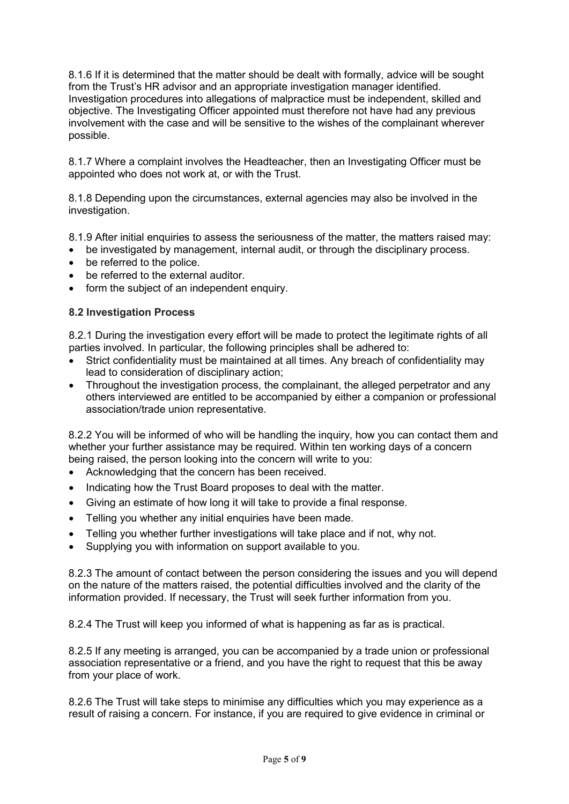8.1.6 If it is determined that the matter should be dealt with formally, advice will be sought from the Trust's HR advisor and an appropriate investigation manager identified. Investigation procedures into allegations of malpractice must be independent, skilled and objective. The Investigating Officer appointed must therefore not have had any previous involvement with the case and will be sensitive to the wishes of the complainant wherever possible.

8.1.7 Where a complaint involves the Headteacher, then an Investigating Officer must be appointed who does not work at, or with the Trust.

8.1.8 Depending upon the circumstances, external agencies may also be involved in the investigation.

8.1.9 After initial enquiries to assess the seriousness of the matter, the matters raised may:

- be investigated by management, internal audit, or through the disciplinary process.
- be referred to the police.
- be referred to the external auditor.
- form the subject of an independent enquiry.

#### **8.2 Investigation Process**

8.2.1 During the investigation every effort will be made to protect the legitimate rights of all parties involved. In particular, the following principles shall be adhered to:

- Strict confidentiality must be maintained at all times. Any breach of confidentiality may lead to consideration of disciplinary action;
- Throughout the investigation process, the complainant, the alleged perpetrator and any others interviewed are entitled to be accompanied by either a companion or professional association/trade union representative.

8.2.2 You will be informed of who will be handling the inquiry, how you can contact them and whether your further assistance may be required. Within ten working days of a concern being raised, the person looking into the concern will write to you:

- Acknowledging that the concern has been received.
- Indicating how the Trust Board proposes to deal with the matter.
- Giving an estimate of how long it will take to provide a final response.
- Telling you whether any initial enquiries have been made.
- Telling you whether further investigations will take place and if not, why not.
- Supplying you with information on support available to you.

8.2.3 The amount of contact between the person considering the issues and you will depend on the nature of the matters raised, the potential difficulties involved and the clarity of the information provided. If necessary, the Trust will seek further information from you.

8.2.4 The Trust will keep you informed of what is happening as far as is practical.

8.2.5 If any meeting is arranged, you can be accompanied by a trade union or professional association representative or a friend, and you have the right to request that this be away from your place of work.

8.2.6 The Trust will take steps to minimise any difficulties which you may experience as a result of raising a concern. For instance, if you are required to give evidence in criminal or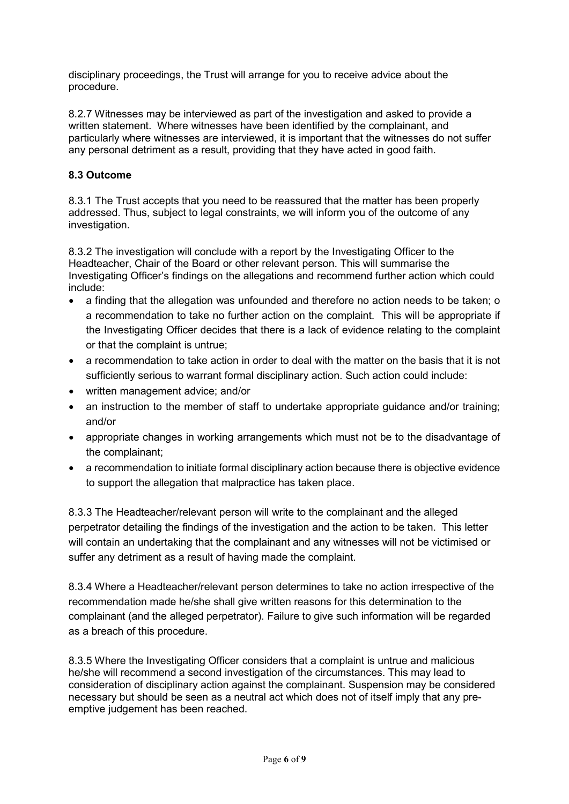disciplinary proceedings, the Trust will arrange for you to receive advice about the procedure.

8.2.7 Witnesses may be interviewed as part of the investigation and asked to provide a written statement. Where witnesses have been identified by the complainant, and particularly where witnesses are interviewed, it is important that the witnesses do not suffer any personal detriment as a result, providing that they have acted in good faith.

# **8.3 Outcome**

8.3.1 The Trust accepts that you need to be reassured that the matter has been properly addressed. Thus, subject to legal constraints, we will inform you of the outcome of any investigation.

8.3.2 The investigation will conclude with a report by the Investigating Officer to the Headteacher, Chair of the Board or other relevant person. This will summarise the Investigating Officer's findings on the allegations and recommend further action which could include:

- a finding that the allegation was unfounded and therefore no action needs to be taken; o a recommendation to take no further action on the complaint. This will be appropriate if the Investigating Officer decides that there is a lack of evidence relating to the complaint or that the complaint is untrue;
- a recommendation to take action in order to deal with the matter on the basis that it is not sufficiently serious to warrant formal disciplinary action. Such action could include:
- written management advice; and/or
- an instruction to the member of staff to undertake appropriate guidance and/or training; and/or
- appropriate changes in working arrangements which must not be to the disadvantage of the complainant;
- a recommendation to initiate formal disciplinary action because there is objective evidence to support the allegation that malpractice has taken place.

8.3.3 The Headteacher/relevant person will write to the complainant and the alleged perpetrator detailing the findings of the investigation and the action to be taken. This letter will contain an undertaking that the complainant and any witnesses will not be victimised or suffer any detriment as a result of having made the complaint.

8.3.4 Where a Headteacher/relevant person determines to take no action irrespective of the recommendation made he/she shall give written reasons for this determination to the complainant (and the alleged perpetrator). Failure to give such information will be regarded as a breach of this procedure.

8.3.5 Where the Investigating Officer considers that a complaint is untrue and malicious he/she will recommend a second investigation of the circumstances. This may lead to consideration of disciplinary action against the complainant. Suspension may be considered necessary but should be seen as a neutral act which does not of itself imply that any preemptive judgement has been reached.